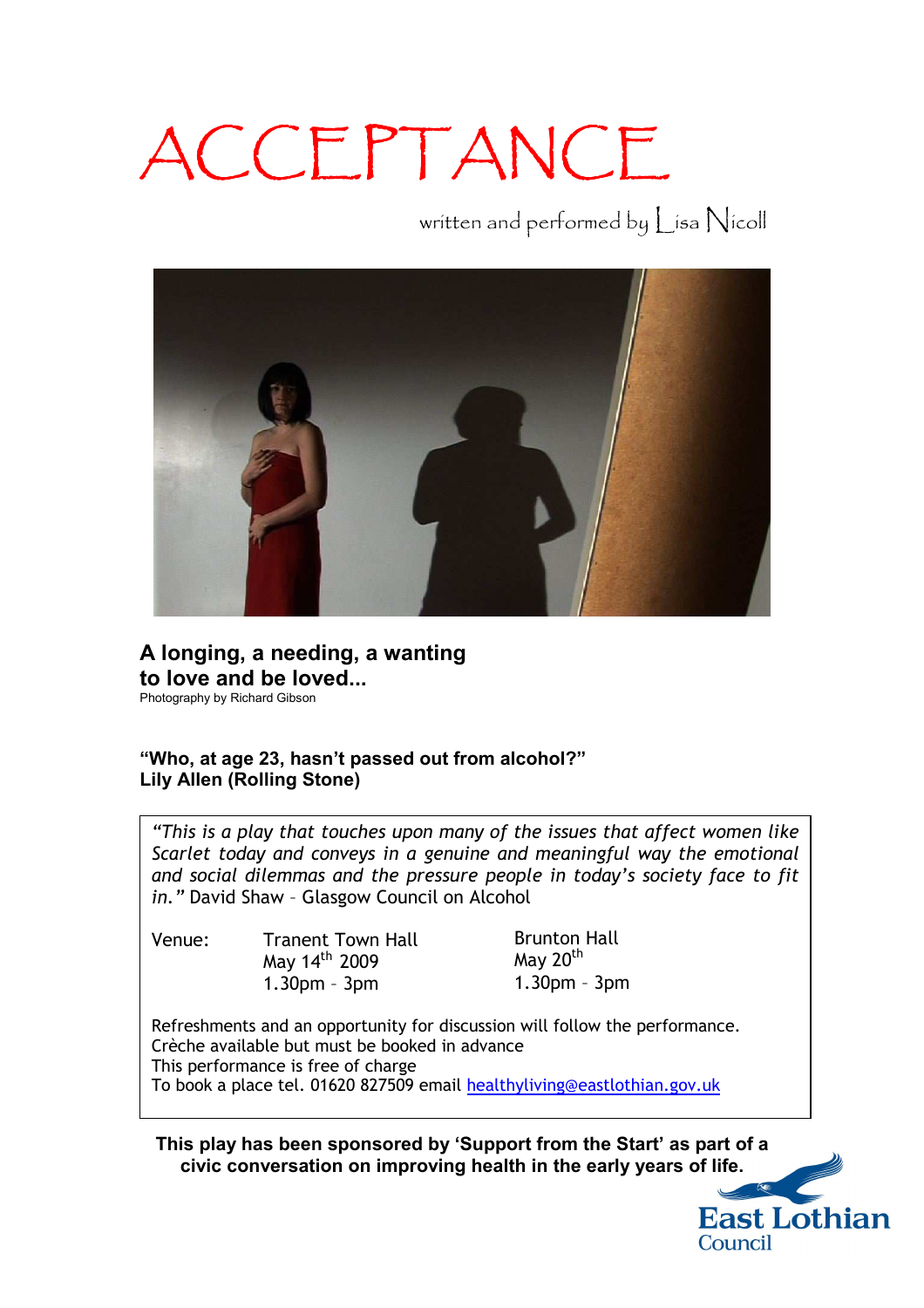## ACCEPTANCE

written and performed by Lisa Nicoll



**A longing, a needing, a wanting to love and be loved...**  Photography by Richard Gibson

## **"Who, at age 23, hasn't passed out from alcohol?" Lily Allen (Rolling Stone)**

*"This is a play that touches upon many of the issues that affect women like Scarlet today and conveys in a genuine and meaningful way the emotional and social dilemmas and the pressure people in today's society face to fit in."* David Shaw – Glasgow Council on Alcohol

Venue: Tranent Town Hall

May 14<sup>th</sup> 2009 1.30pm – 3pm

Brunton Hall May 20<sup>th</sup> 1.30pm – 3pm

Refreshments and an opportunity for discussion will follow the performance. Crèche available but must be booked in advance This performance is free of charge To book a place tel. 01620 827509 email [healthyliving@eastlothian.gov.uk](mailto:healthyliving@eastlothian.gov.uk)

**This play has been sponsored by 'Support from the Start' as part of a civic conversation on improving health in the early years of life.**